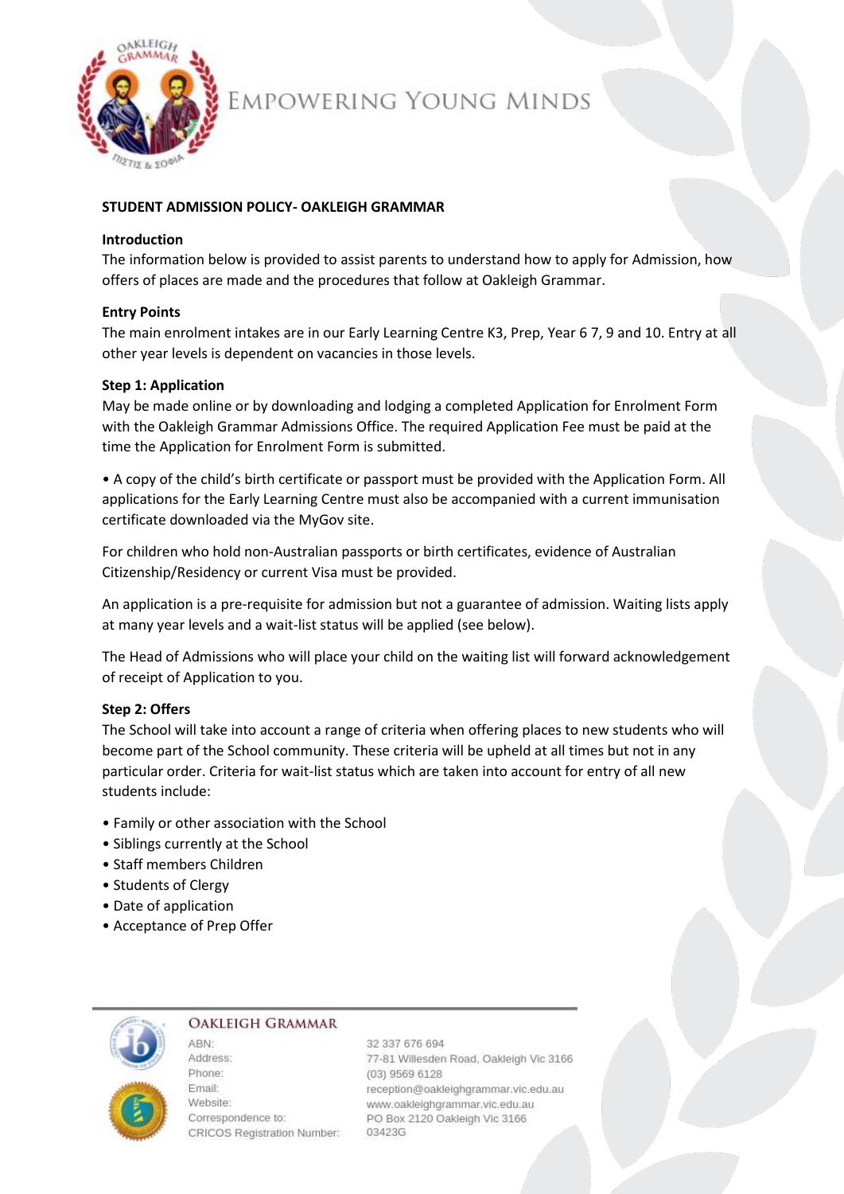

# EMPOWERING YOUNG MINDS

## **STUDENT ADMISSION POLICY- OAKLEIGH GRAMMAR**

## **Introduction**

The information below is provided to assist parents to understand how to apply for Admission, how offers of places are made and the procedures that follow at Oakleigh Grammar.

## **Entry Points**

The main enrolment intakes are in our Early Learning Centre K3, Prep, Year 6 7, 9 and 10. Entry at all other year levels is dependent on vacancies in those levels.

## **Step 1: Application**

May be made online or by downloading and lodging a completed Application for Enrolment Form with the Oakleigh Grammar Admissions Office. The required Application Fee must be paid at the time the Application for Enrolment Form is submitted.

• A copy of the child's birth certificate or passport must be provided with the Application Form. All applications for the Early Learning Centre must also be accompanied with a current immunisation certificate downloaded via the MyGov site.

For children who hold non-Australian passports or birth certificates, evidence of Australian Citizenship/Residency or current Visa must be provided.

An application is a pre-requisite for admission but not a guarantee of admission. Waiting lists apply at many year levels and a wait-list status will be applied (see below).

The Head of Admissions who will place your child on the waiting list will forward acknowledgement of receipt of Application to you.

## **Step 2: Offers**

The School will take into account a range of criteria when offering places to new students who will become part of the School community. These criteria will be upheld at all times but not in any particular order. Criteria for wait-list status which are taken into account for entry of all new students include:

- Family or other association with the School
- Siblings currently at the School
- Staff members Children
- Students of Clergy
- Date of application
- Acceptance of Prep Offer

ARN-



## **OAKLEIGH GRAMMAR**

Address: Phone: **Email:** Website: Correspondence to: CRICOS Registration Number:

32 337 676 694 77-81 Willesden Road, Oakleigh Vic 3166 (03) 9569 6128 reception@oakleighgrammar.vic.edu.au www.oakleighgrammar.vic.edu.au PO Box 2120 Oakleigh Vic 3166 03423G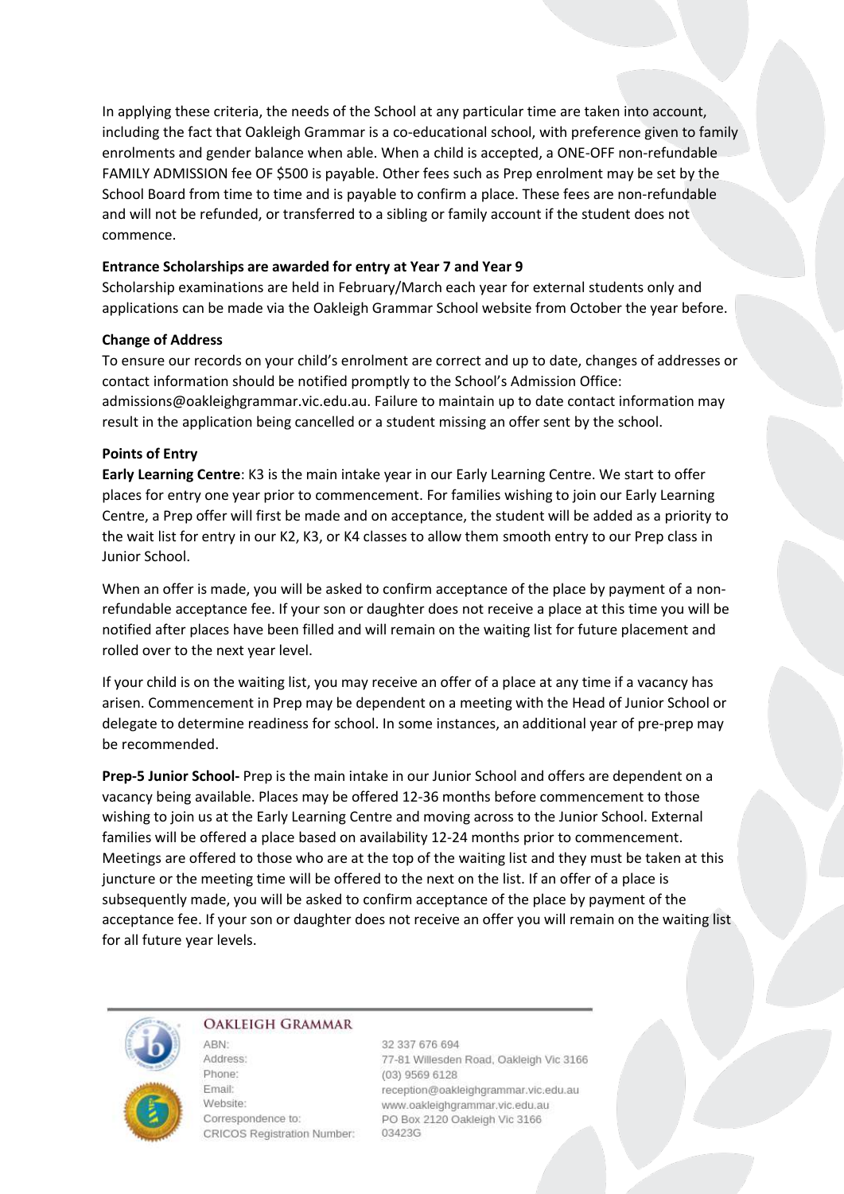In applying these criteria, the needs of the School at any particular time are taken into account, including the fact that Oakleigh Grammar is a co-educational school, with preference given to family enrolments and gender balance when able. When a child is accepted, a ONE-OFF non-refundable FAMILY ADMISSION fee OF \$500 is payable. Other fees such as Prep enrolment may be set by the School Board from time to time and is payable to confirm a place. These fees are non-refundable and will not be refunded, or transferred to a sibling or family account if the student does not commence.

#### **Entrance Scholarships are awarded for entry at Year 7 and Year 9**

Scholarship examinations are held in February/March each year for external students only and applications can be made via the Oakleigh Grammar School website from October the year before.

## **Change of Address**

To ensure our records on your child's enrolment are correct and up to date, changes of addresses or contact information should be notified promptly to the School's Admission Office: admissions@oakleighgrammar.vic.edu.au. Failure to maintain up to date contact information may result in the application being cancelled or a student missing an offer sent by the school.

## **Points of Entry**

**Early Learning Centre**: K3 is the main intake year in our Early Learning Centre. We start to offer places for entry one year prior to commencement. For families wishing to join our Early Learning Centre, a Prep offer will first be made and on acceptance, the student will be added as a priority to the wait list for entry in our K2, K3, or K4 classes to allow them smooth entry to our Prep class in Junior School.

When an offer is made, you will be asked to confirm acceptance of the place by payment of a nonrefundable acceptance fee. If your son or daughter does not receive a place at this time you will be notified after places have been filled and will remain on the waiting list for future placement and rolled over to the next year level.

If your child is on the waiting list, you may receive an offer of a place at any time if a vacancy has arisen. Commencement in Prep may be dependent on a meeting with the Head of Junior School or delegate to determine readiness for school. In some instances, an additional year of pre-prep may be recommended.

**Prep-5 Junior School-** Prep is the main intake in our Junior School and offers are dependent on a vacancy being available. Places may be offered 12-36 months before commencement to those wishing to join us at the Early Learning Centre and moving across to the Junior School. External families will be offered a place based on availability 12-24 months prior to commencement. Meetings are offered to those who are at the top of the waiting list and they must be taken at this juncture or the meeting time will be offered to the next on the list. If an offer of a place is subsequently made, you will be asked to confirm acceptance of the place by payment of the acceptance fee. If your son or daughter does not receive an offer you will remain on the waiting list for all future year levels.



#### **OAKLEIGH GRAMMAR**

ARN<sup>-</sup>

Address: Phone: Email: Website: Correspondence to: CRICOS Registration Number:

32 337 676 694 77-81 Willesden Road, Oakleigh Vic 3166 (03) 9569 6128 reception@oakleighgrammar.vic.edu.au www.oakleighgrammar.vic.edu.au PO Box 2120 Oakleigh Vic 3166 03423G